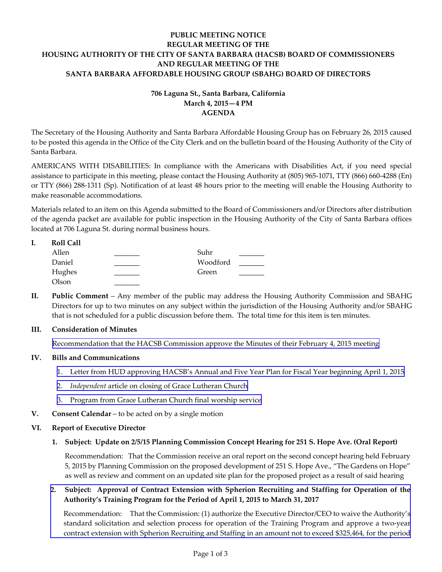## **PUBLIC MEETING NOTICE REGULAR MEETING OF THE HOUSING AUTHORITY OF THE CITY OF SANTA BARBARA (HACSB) BOARD OF COMMISSIONERS AND REGULAR MEETING OF THE SANTA BARBARA AFFORDABLE HOUSING GROUP (SBAHG) BOARD OF DIRECTORS**

# **706 Laguna St., Santa Barbara, California March 4, 2015—4 PM AGENDA**

The Secretary of the Housing Authority and Santa Barbara Affordable Housing Group has on February 26, 2015 caused to be posted this agenda in the Office of the City Clerk and on the bulletin board of the Housing Authority of the City of Santa Barbara.

AMERICANS WITH DISABILITIES: In compliance with the Americans with Disabilities Act, if you need special assistance to participate in this meeting, please contact the Housing Authority at (805) 965‐1071, TTY (866) 660‐4288 (En) or TTY (866) 288‐1311 (Sp). Notification of at least 48 hours prior to the meeting will enable the Housing Authority to make reasonable accommodations.

Materials related to an item on this Agenda submitted to the Board of Commissioners and/or Directors after distribution of the agenda packet are available for public inspection in the Housing Authority of the City of Santa Barbara offices located at 706 Laguna St. during normal business hours.

| ı. | <b>Roll Call</b> |          |  |
|----|------------------|----------|--|
|    | Allen            | Suhr     |  |
|    | Daniel           | Woodford |  |
|    | Hughes           | Green    |  |
|    | Olson            |          |  |

**II. Public Comment** – Any member of the public may address the Housing Authority Commission and SBAHG Directors for up to two minutes on any subject within the jurisdiction of the Housing Authority and/or SBAHG that is not scheduled for a public discussion before them. The total time for this item is ten minutes.

### **III. Consideration of Minutes**

[Recommendation](http://hacsb.org/download/meetings-2015/items/03_march/item_III_I_2015_03_04.pdf) that the HACSB Commission approve the Minutes of their February 4, 2015 meeting

### **IV. Bills and Communications**

- 1. Letter from HUD [approving](http://hacsb.org/download/meetings-2015/items/03_march/item_IV_I_2015_03_04.pdf) HACSB's Annual and Five Year Plan for Fiscal Year beginning April 1, 2015
- 2. *[Independent](http://hacsb.org/download/meetings-2015/items/03_march/item_IV_II_2015_03_04.pdf)* article on closing of Grace Lutheran Church
- 3. Program from Grace [Lutheran](http://hacsb.org/download/meetings-2015/items/03_march/item_IV_III_2015_03_04.pdf) Church final worship service
- **V. Consent Calendar** to be acted on by a single motion

#### **VI. Report of Executive Director**

### **1. Subject: Update on 2/5/15 Planning Commission Concept Hearing for 251 S. Hope Ave. (Oral Report)**

Recommendation: That the Commission receive an oral report on the second concept hearing held February 5, 2015 by Planning Commission on the proposed development of 251 S. Hope Ave., "The Gardens on Hope" as well as review and comment on an updated site plan for the proposed project as a result of said hearing

## **2. Subject: Approval of Contract Extension with Spherion Recruiting and Staffing for Operation of the Authority's Training Program for the Period of April 1, 2015 to March 31, 2017**

[Recommendation:](http://hacsb.org/download/meetings-2015/items/03_march/item_VI_II_2015_03_04.pdf)That the Commission: (1) authorize the Executive Director/CEO to waive the Authority's standard solicitation and selection process for operation of the Training Program and approve a two‐year contract extension with Spherion Recruiting and Staffing in an amount not to exceed \$325,464, for the period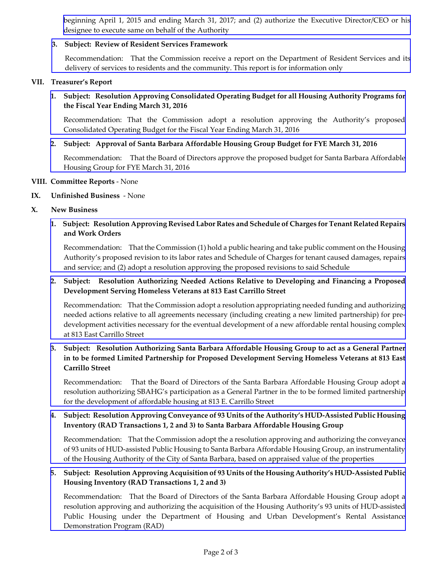beginning April 1, 2015 and ending March 31, 2017; and (2) authorize the Executive [Director/CEO](http://hacsb.org/download/meetings-2015/items/03_march/item_VI_II_2015_03_04.pdf) or his designee to execute same on behalf of the Authority

## **3. Subject: Review of Resident Services Framework**

[Recommendation:](http://hacsb.org/download/meetings-2015/items/03_march/item_VI_III_2015_03_04.pdf) That the Commission receive a report on the Department of Resident Services and its delivery of services to residents and the community. This report is for information only

#### **VII. Treasurer's Report**

## **1. Subject: Resolution Approving Consolidated Operating Budget for all Housing Authority Programs for the Fiscal Year Ending March 31, 2016**

[Recommendation:](http://hacsb.org/download/meetings-2015/items/03_march/item_VII_I_2015_03_04.pdf) That the Commission adopt a resolution approving the Authority's proposed Consolidated Operating Budget for the Fiscal Year Ending March 31, 2016

**2. Subject: Approval of Santa Barbara Affordable Housing Group Budget for FYE March 31, 2016**

[Recommendation:](http://hacsb.org/download/meetings-2015/items/03_march/item_VII_II_2015_03_04.pdf) That the Board of Directors approve the proposed budget for Santa Barbara Affordable Housing Group for FYE March 31, 2016

#### **VIII. Committee Reports** ‐ None

#### **IX. Unfinished Business** ‐ None

**X. New Business**

## 1. Subject: Resolution Approving Revised Labor Rates and Schedule of Charges for Tenant Related Repairs **and Work Orders**

[Recommendation:](http://hacsb.org/download/meetings-2015/items/03_march/item_X_I_2015_03_04.pdf) That the Commission (1) hold a public hearing and take public comment on the Housing Authority's proposed revision to its labor rates and Schedule of Charges for tenant caused damages, repairs and service; and (2) adopt a resolution approving the proposed revisions to said Schedule

### **2. Subject: Resolution Authorizing Needed Actions Relative to Developing and Financing a Proposed Development Serving Homeless Veterans at 813 East Carrillo Street**

[Recommendation:](http://hacsb.org/download/meetings-2015/items/03_march/item_X_II-III_2015_03_04.pdf) That the Commission adopt a resolution appropriating needed funding and authorizing needed actions relative to all agreements necessary (including creating a new limited partnership) for pre‐ development activities necessary for the eventual development of a new affordable rental housing complex at 813 East Carrillo Street

## **3. Subject: Resolution Authorizing Santa Barbara Affordable Housing Group to act as a General Partner in to be formed Limited Partnership for Proposed Development Serving Homeless Veterans at 813 East Carrillo Street**

[Recommendation:](http://hacsb.org/download/meetings-2015/items/03_march/item_X_II-III_2015_03_04.pdf) That the Board of Directors of the Santa Barbara Affordable Housing Group adopt a resolution authorizing SBAHG's participation as a General Partner in the to be formed limited partnership for the development of affordable housing at 813 E. Carrillo Street

## **4. Subject: Resolution Approving Conveyance of 93 Units ofthe Authority's HUD‐Assisted Public Housing Inventory (RAD Transactions 1, 2 and 3) to Santa Barbara Affordable Housing Group**

[Recommendation:](http://hacsb.org/download/meetings-2015/items/03_march/item_X_IV-V_2015_03_04.pdf) That the Commission adopt the a resolution approving and authorizing the conveyance of 93 units of HUD‐assisted Public Housing to Santa Barbara Affordable Housing Group, an instrumentality of the Housing Authority of the City of Santa Barbara, based on appraised value of the properties

### 5. Subject: Resolution Approving Acquisition of 93 Units of the Housing Authority's HUD-Assisted Public **Housing Inventory (RAD Transactions 1, 2 and 3)**

[Recommendation:](http://hacsb.org/download/meetings-2015/items/03_march/item_X_IV-V_2015_03_04.pdf) That the Board of Directors of the Santa Barbara Affordable Housing Group adopt a resolution approving and authorizing the acquisition of the Housing Authority's 93 units of HUD‐assisted Public Housing under the Department of Housing and Urban Development's Rental Assistance Demonstration Program (RAD)